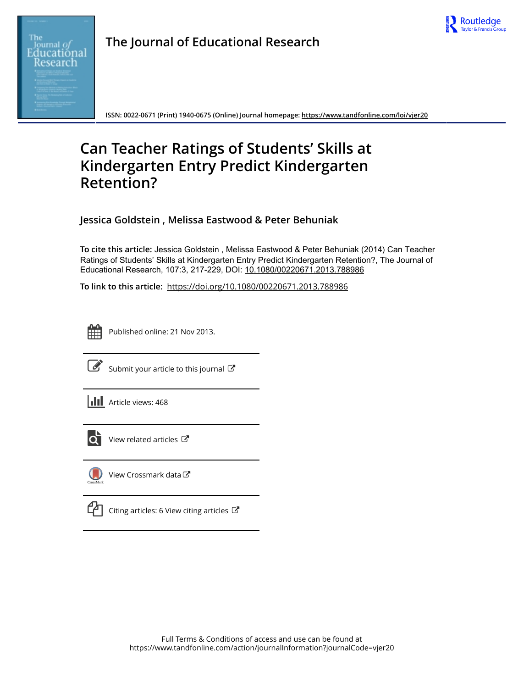

**The Journal of Educational Research**

**ISSN: 0022-0671 (Print) 1940-0675 (Online) Journal homepage:<https://www.tandfonline.com/loi/vjer20>**

# **Can Teacher Ratings of Students' Skills at Kindergarten Entry Predict Kindergarten Retention?**

**Jessica Goldstein , Melissa Eastwood & Peter Behuniak**

**To cite this article:** Jessica Goldstein , Melissa Eastwood & Peter Behuniak (2014) Can Teacher Ratings of Students' Skills at Kindergarten Entry Predict Kindergarten Retention?, The Journal of Educational Research, 107:3, 217-229, DOI: [10.1080/00220671.2013.788986](https://www.tandfonline.com/action/showCitFormats?doi=10.1080/00220671.2013.788986)

**To link to this article:** <https://doi.org/10.1080/00220671.2013.788986>

Published online: 21 Nov 2013.



 $\overrightarrow{S}$  [Submit your article to this journal](https://www.tandfonline.com/action/authorSubmission?journalCode=vjer20&show=instructions)  $\overrightarrow{S}$ 





 $\overline{\mathbf{C}}$  [View related articles](https://www.tandfonline.com/doi/mlt/10.1080/00220671.2013.788986)  $\mathbf{C}$ 



[View Crossmark data](http://crossmark.crossref.org/dialog/?doi=10.1080/00220671.2013.788986&domain=pdf&date_stamp=2013-11-21) $\mathbb{Z}$ 



 $\mathbb{C}$  [Citing articles: 6 View citing articles](https://www.tandfonline.com/doi/citedby/10.1080/00220671.2013.788986#tabModule)  $\mathbb{C}$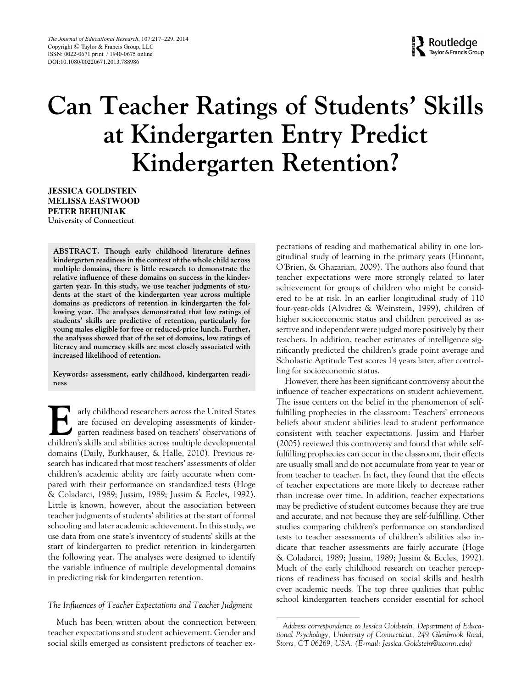

# **Can Teacher Ratings of Students' Skills at Kindergarten Entry Predict Kindergarten Retention?**

**JESSICA GOLDSTEIN MELISSA EASTWOOD PETER BEHUNIAK University of Connecticut**

**ABSTRACT. Though early childhood literature defines kindergarten readiness in the context of the whole child across multiple domains, there is little research to demonstrate the relative influence of these domains on success in the kindergarten year. In this study, we use teacher judgments of students at the start of the kindergarten year across multiple domains as predictors of retention in kindergarten the following year. The analyses demonstrated that low ratings of students' skills are predictive of retention, particularly for young males eligible for free or reduced-price lunch. Further, the analyses showed that of the set of domains, low ratings of literacy and numeracy skills are most closely associated with increased likelihood of retention.**

**Keywords: assessment, early childhood, kindergarten readiness**

Farly childhood researchers across the United States<br>are focused on developing assessments of kinder-<br>garten readiness based on teachers' observations of<br>children's skills and abilities across multiple developmental are focused on developing assessments of kindergarten readiness based on teachers' observations of children's skills and abilities across multiple developmental domains (Daily, Burkhauser, & Halle, 2010). Previous research has indicated that most teachers' assessments of older children's academic ability are fairly accurate when compared with their performance on standardized tests (Hoge & Coladarci, 1989; Jussim, 1989; Jussim & Eccles, 1992). Little is known, however, about the association between teacher judgments of students' abilities at the start of formal schooling and later academic achievement. In this study, we use data from one state's inventory of students' skills at the start of kindergarten to predict retention in kindergarten the following year. The analyses were designed to identify the variable influence of multiple developmental domains in predicting risk for kindergarten retention.

# *The Influences of Teacher Expectations and Teacher Judgment*

Much has been written about the connection between teacher expectations and student achievement. Gender and social skills emerged as consistent predictors of teacher expectations of reading and mathematical ability in one longitudinal study of learning in the primary years (Hinnant, O'Brien, & Ghazarian, 2009). The authors also found that teacher expectations were more strongly related to later achievement for groups of children who might be considered to be at risk. In an earlier longitudinal study of 110 four-year-olds (Alvidrez & Weinstein, 1999), children of higher socioeconomic status and children perceived as assertive and independent were judged more positively by their teachers. In addition, teacher estimates of intelligence significantly predicted the children's grade point average and Scholastic Aptitude Test scores 14 years later, after controlling for socioeconomic status.

However, there has been significant controversy about the influence of teacher expectations on student achievement. The issue centers on the belief in the phenomenon of selffulfilling prophecies in the classroom: Teachers' erroneous beliefs about student abilities lead to student performance consistent with teacher expectations. Jussim and Harber (2005) reviewed this controversy and found that while selffulfilling prophecies can occur in the classroom, their effects are usually small and do not accumulate from year to year or from teacher to teacher. In fact, they found that the effects of teacher expectations are more likely to decrease rather than increase over time. In addition, teacher expectations may be predictive of student outcomes because they are true and accurate, and not because they are self-fulfilling. Other studies comparing children's performance on standardized tests to teacher assessments of children's abilities also indicate that teacher assessments are fairly accurate (Hoge & Coladarci, 1989; Jussim, 1989; Jussim & Eccles, 1992). Much of the early childhood research on teacher perceptions of readiness has focused on social skills and health over academic needs. The top three qualities that public school kindergarten teachers consider essential for school

*Address correspondence to Jessica Goldstein, Department of Educational Psychology, University of Connecticut, 249 Glenbrook Road, Storrs, CT 06269, USA. (E-mail: Jessica.Goldstein@uconn.edu)*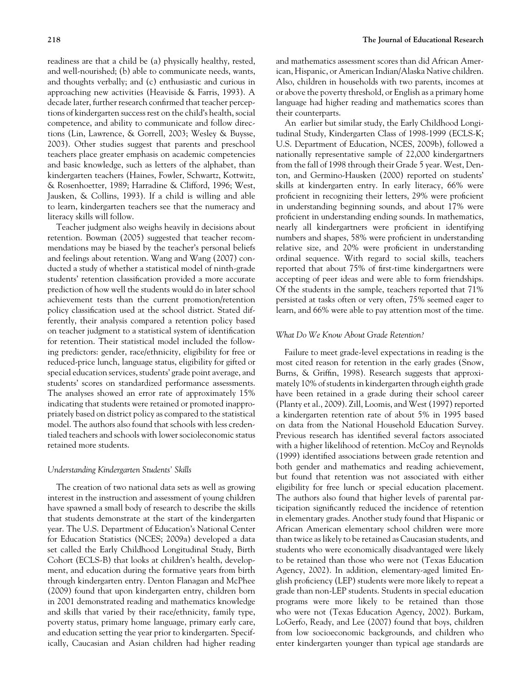readiness are that a child be (a) physically healthy, rested, and well-nourished; (b) able to communicate needs, wants, and thoughts verbally; and (c) enthusiastic and curious in approaching new activities (Heaviside & Farris, 1993). A decade later, further research confirmed that teacher perceptions of kindergarten success rest on the child's health, social competence, and ability to communicate and follow directions (Lin, Lawrence, & Gorrell, 2003; Wesley & Buysse, 2003). Other studies suggest that parents and preschool teachers place greater emphasis on academic competencies and basic knowledge, such as letters of the alphabet, than kindergarten teachers (Haines, Fowler, Schwartz, Kottwitz, & Rosenhoetter, 1989; Harradine & Clifford, 1996; West, Jausken, & Collins, 1993). If a child is willing and able to learn, kindergarten teachers see that the numeracy and literacy skills will follow.

Teacher judgment also weighs heavily in decisions about retention. Bowman (2005) suggested that teacher recommendations may be biased by the teacher's personal beliefs and feelings about retention. Wang and Wang (2007) conducted a study of whether a statistical model of ninth-grade students' retention classification provided a more accurate prediction of how well the students would do in later school achievement tests than the current promotion/retention policy classification used at the school district. Stated differently, their analysis compared a retention policy based on teacher judgment to a statistical system of identification for retention. Their statistical model included the following predictors: gender, race/ethnicity, eligibility for free or reduced-price lunch, language status, eligibility for gifted or special education services, students' grade point average, and students' scores on standardized performance assessments. The analyses showed an error rate of approximately 15% indicating that students were retained or promoted inappropriately based on district policy as compared to the statistical model. The authors also found that schools with less credentialed teachers and schools with lower socioleconomic status retained more students.

#### *Understanding Kindergarten Students' Skills*

The creation of two national data sets as well as growing interest in the instruction and assessment of young children have spawned a small body of research to describe the skills that students demonstrate at the start of the kindergarten year. The U.S. Department of Education's National Center for Education Statistics (NCES; 2009a) developed a data set called the Early Childhood Longitudinal Study, Birth Cohort (ECLS-B) that looks at children's health, development, and education during the formative years from birth through kindergarten entry. Denton Flanagan and McPhee (2009) found that upon kindergarten entry, children born in 2001 demonstrated reading and mathematics knowledge and skills that varied by their race/ethnicity, family type, poverty status, primary home language, primary early care, and education setting the year prior to kindergarten. Specifically, Caucasian and Asian children had higher reading and mathematics assessment scores than did African American, Hispanic, or American Indian/Alaska Native children. Also, children in households with two parents, incomes at or above the poverty threshold, or English as a primary home language had higher reading and mathematics scores than their counterparts.

An earlier but similar study, the Early Childhood Longitudinal Study, Kindergarten Class of 1998-1999 (ECLS-K; U.S. Department of Education, NCES, 2009b), followed a nationally representative sample of 22,000 kindergartners from the fall of 1998 through their Grade 5 year. West, Denton, and Germino-Hausken (2000) reported on students' skills at kindergarten entry. In early literacy, 66% were proficient in recognizing their letters, 29% were proficient in understanding beginning sounds, and about 17% were proficient in understanding ending sounds. In mathematics, nearly all kindergartners were proficient in identifying numbers and shapes, 58% were proficient in understanding relative size, and 20% were proficient in understanding ordinal sequence. With regard to social skills, teachers reported that about 75% of first-time kindergartners were accepting of peer ideas and were able to form friendships. Of the students in the sample, teachers reported that 71% persisted at tasks often or very often, 75% seemed eager to learn, and 66% were able to pay attention most of the time.

# *What Do We Know About Grade Retention?*

Failure to meet grade-level expectations in reading is the most cited reason for retention in the early grades (Snow, Burns, & Griffin, 1998). Research suggests that approximately 10% of students in kindergarten through eighth grade have been retained in a grade during their school career (Planty et al., 2009). Zill, Loomis, and West (1997) reported a kindergarten retention rate of about 5% in 1995 based on data from the National Household Education Survey. Previous research has identified several factors associated with a higher likelihood of retention. McCoy and Reynolds (1999) identified associations between grade retention and both gender and mathematics and reading achievement, but found that retention was not associated with either eligibility for free lunch or special education placement. The authors also found that higher levels of parental participation significantly reduced the incidence of retention in elementary grades. Another study found that Hispanic or African American elementary school children were more than twice as likely to be retained as Caucasian students, and students who were economically disadvantaged were likely to be retained than those who were not (Texas Education Agency, 2002). In addition, elementary-aged limited English proficiency (LEP) students were more likely to repeat a grade than non-LEP students. Students in special education programs were more likely to be retained than those who were not (Texas Education Agency, 2002). Burkam, LoGerfo, Ready, and Lee (2007) found that boys, children from low socioeconomic backgrounds, and children who enter kindergarten younger than typical age standards are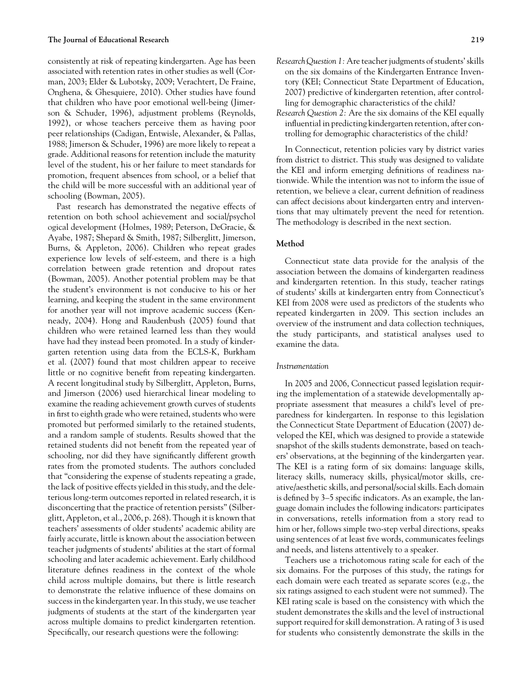#### **The Journal of Educational Research 219**

consistently at risk of repeating kindergarten. Age has been associated with retention rates in other studies as well (Corman, 2003; Elder & Lubotsky, 2009; Verachtert, De Fraine, Onghena, & Ghesquiere, 2010). Other studies have found that children who have poor emotional well-being (Jimerson & Schuder, 1996), adjustment problems (Reynolds, 1992), or whose teachers perceive them as having poor peer relationships (Cadigan, Entwisle, Alexander, & Pallas, 1988; Jimerson & Schuder, 1996) are more likely to repeat a grade. Additional reasons for retention include the maturity level of the student, his or her failure to meet standards for promotion, frequent absences from school, or a belief that the child will be more successful with an additional year of schooling (Bowman, 2005).

Past research has demonstrated the negative effects of retention on both school achievement and social/psychol ogical development (Holmes, 1989; Peterson, DeGracie, & Ayabe, 1987; Shepard & Smith, 1987; Silberglitt, Jimerson, Burns, & Appleton, 2006). Children who repeat grades experience low levels of self-esteem, and there is a high correlation between grade retention and dropout rates (Bowman, 2005). Another potential problem may be that the student's environment is not conducive to his or her learning, and keeping the student in the same environment for another year will not improve academic success (Kenneady, 2004). Hong and Raudenbush (2005) found that children who were retained learned less than they would have had they instead been promoted. In a study of kindergarten retention using data from the ECLS-K, Burkham et al. (2007) found that most children appear to receive little or no cognitive benefit from repeating kindergarten. A recent longitudinal study by Silberglitt, Appleton, Burns, and Jimerson (2006) used hierarchical linear modeling to examine the reading achievement growth curves of students in first to eighth grade who were retained, students who were promoted but performed similarly to the retained students, and a random sample of students. Results showed that the retained students did not benefit from the repeated year of schooling, nor did they have significantly different growth rates from the promoted students. The authors concluded that "considering the expense of students repeating a grade, the lack of positive effects yielded in this study, and the deleterious long-term outcomes reported in related research, it is disconcerting that the practice of retention persists" (Silberglitt, Appleton, et al., 2006, p. 268). Though it is known that teachers' assessments of older students' academic ability are fairly accurate, little is known about the association between teacher judgments of students' abilities at the start of formal schooling and later academic achievement. Early childhood literature defines readiness in the context of the whole child across multiple domains, but there is little research to demonstrate the relative influence of these domains on success in the kindergarten year. In this study, we use teacher judgments of students at the start of the kindergarten year across multiple domains to predict kindergarten retention. Specifically, our research questions were the following:

- *Research Question 1:* Are teacher judgments of students' skills on the six domains of the Kindergarten Entrance Inventory (KEI; Connecticut State Department of Education, 2007) predictive of kindergarten retention, after controlling for demographic characteristics of the child?
- *Research Question 2:* Are the six domains of the KEI equally influential in predicting kindergarten retention, after controlling for demographic characteristics of the child?

In Connecticut, retention policies vary by district varies from district to district. This study was designed to validate the KEI and inform emerging definitions of readiness nationwide. While the intention was not to inform the issue of retention, we believe a clear, current definition of readiness can affect decisions about kindergarten entry and interventions that may ultimately prevent the need for retention. The methodology is described in the next section.

# **Method**

Connecticut state data provide for the analysis of the association between the domains of kindergarten readiness and kindergarten retention. In this study, teacher ratings of students' skills at kindergarten entry from Connecticut's KEI from 2008 were used as predictors of the students who repeated kindergarten in 2009. This section includes an overview of the instrument and data collection techniques, the study participants, and statistical analyses used to examine the data.

#### *Instrumentation*

In 2005 and 2006, Connecticut passed legislation requiring the implementation of a statewide developmentally appropriate assessment that measures a child's level of preparedness for kindergarten. In response to this legislation the Connecticut State Department of Education (2007) developed the KEI, which was designed to provide a statewide snapshot of the skills students demonstrate, based on teachers' observations, at the beginning of the kindergarten year. The KEI is a rating form of six domains: language skills, literacy skills, numeracy skills, physical/motor skills, creative/aesthetic skills, and personal/social skills. Each domain is defined by 3–5 specific indicators. As an example, the language domain includes the following indicators: participates in conversations, retells information from a story read to him or her, follows simple two-step verbal directions, speaks using sentences of at least five words, communicates feelings and needs, and listens attentively to a speaker.

Teachers use a trichotomous rating scale for each of the six domains. For the purposes of this study, the ratings for each domain were each treated as separate scores (e.g., the six ratings assigned to each student were not summed). The KEI rating scale is based on the consistency with which the student demonstrates the skills and the level of instructional support required for skill demonstration. A rating of 3 is used for students who consistently demonstrate the skills in the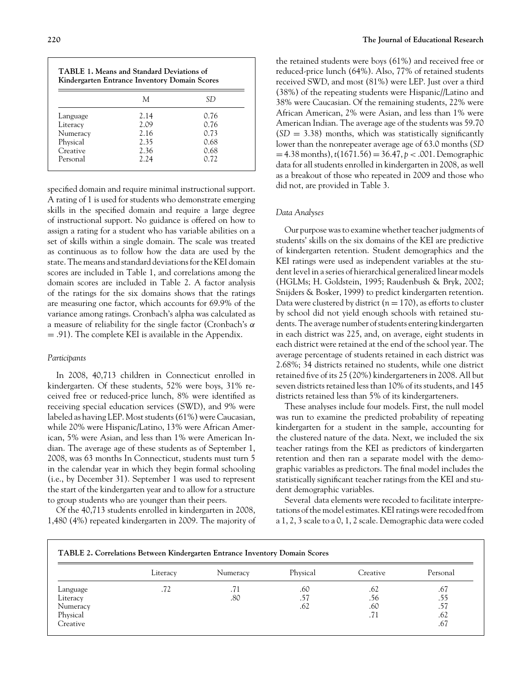| <b>TABLE 1. Means and Standard Deviations of</b><br>Kindergarten Entrance Inventory Domain Scores |      |      |  |
|---------------------------------------------------------------------------------------------------|------|------|--|
|                                                                                                   | М    | SD   |  |
| Language                                                                                          | 2.14 | 0.76 |  |
| Literacy                                                                                          | 2.09 | 0.76 |  |
| Numeracy                                                                                          | 2.16 | 0.73 |  |
| Physical                                                                                          | 2.35 | 0.68 |  |
| Creative                                                                                          | 2.36 | 0.68 |  |
| Personal                                                                                          | 2.24 | 0.72 |  |
|                                                                                                   |      |      |  |

specified domain and require minimal instructional support. A rating of 1 is used for students who demonstrate emerging skills in the specified domain and require a large degree of instructional support. No guidance is offered on how to assign a rating for a student who has variable abilities on a set of skills within a single domain. The scale was treated as continuous as to follow how the data are used by the state. The means and standard deviations for the KEI domain scores are included in Table 1, and correlations among the domain scores are included in Table 2. A factor analysis of the ratings for the six domains shows that the ratings are measuring one factor, which accounts for 69.9% of the variance among ratings. Cronbach's alpha was calculated as a measure of reliability for the single factor (Cronbach's  $\alpha$ = .91). The complete KEI is available in the Appendix.

#### *Participants*

In 2008, 40,713 children in Connecticut enrolled in kindergarten. Of these students, 52% were boys, 31% received free or reduced-price lunch, 8% were identified as receiving special education services (SWD), and 9% were labeled as having LEP. Most students (61%) were Caucasian, while 20% were Hispanic/Latino, 13% were African American, 5% were Asian, and less than 1% were American Indian. The average age of these students as of September 1, 2008, was 63 months In Connecticut, students must turn 5 in the calendar year in which they begin formal schooling (i.e., by December 31). September 1 was used to represent the start of the kindergarten year and to allow for a structure to group students who are younger than their peers.

Of the 40,713 students enrolled in kindergarten in 2008, 1,480 (4%) repeated kindergarten in 2009. The majority of the retained students were boys (61%) and received free or reduced-price lunch (64%). Also, 77% of retained students received SWD, and most (81%) were LEP. Just over a third (38%) of the repeating students were Hispanic//Latino and 38% were Caucasian. Of the remaining students, 22% were African American, 2% were Asian, and less than 1% were American Indian. The average age of the students was 59.70  $(SD = 3.38)$  months, which was statistically significantly lower than the nonrepeater average age of 63.0 months (*SD* = 4.38 months), *t*(1671.56) = 36.47, *p* < .001. Demographic data for all students enrolled in kindergarten in 2008, as well as a breakout of those who repeated in 2009 and those who did not, are provided in Table 3.

# *Data Analyses*

Our purpose was to examine whether teacher judgments of students' skills on the six domains of the KEI are predictive of kindergarten retention. Student demographics and the KEI ratings were used as independent variables at the student level in a series of hierarchical generalized linear models (HGLMs; H. Goldstein, 1995; Raudenbush & Bryk, 2002; Snijders & Bosker, 1999) to predict kindergarten retention. Data were clustered by district  $(n = 170)$ , as efforts to cluster by school did not yield enough schools with retained students. The average number of students entering kindergarten in each district was 225, and, on average, eight students in each district were retained at the end of the school year. The average percentage of students retained in each district was 2.68%; 34 districts retained no students, while one district retained five of its 25 (20%) kindergarteners in 2008. All but seven districts retained less than 10% of its students, and 145 districts retained less than 5% of its kindergarteners.

These analyses include four models. First, the null model was run to examine the predicted probability of repeating kindergarten for a student in the sample, accounting for the clustered nature of the data. Next, we included the six teacher ratings from the KEI as predictors of kindergarten retention and then ran a separate model with the demographic variables as predictors. The final model includes the statistically significant teacher ratings from the KEI and student demographic variables.

Several data elements were recoded to facilitate interpretations of the model estimates. KEI ratings were recoded from a 1, 2, 3 scale to a 0, 1, 2 scale. Demographic data were coded

| TABLE 2. Correlations Between Kindergarten Entrance Inventory Domain Scores |          |            |                   |                          |                                 |
|-----------------------------------------------------------------------------|----------|------------|-------------------|--------------------------|---------------------------------|
|                                                                             | Literacy | Numeracy   | Physical          | Creative                 | Personal                        |
| Language<br>Literacy<br>Numeracy<br>Physical<br>Creative                    | .72      | .71<br>.80 | .60<br>.57<br>.62 | .62<br>.56<br>.60<br>.71 | .67<br>.55<br>.57<br>.62<br>.67 |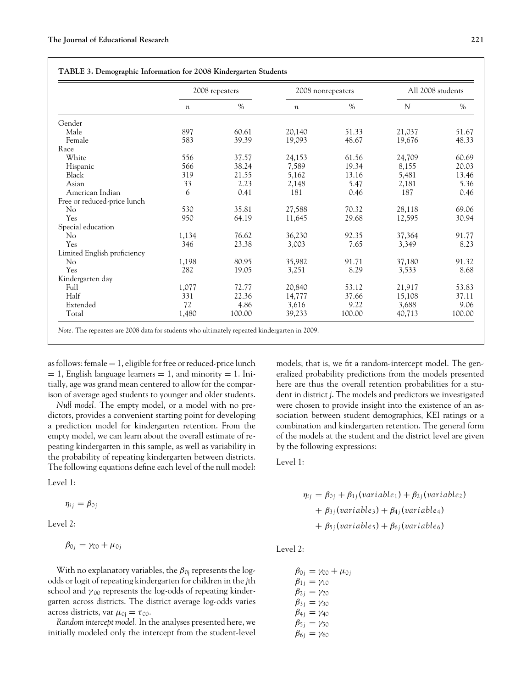|                             | 2008 repeaters   |        |                  | 2008 nonrepeaters | All 2008 students           |        |
|-----------------------------|------------------|--------|------------------|-------------------|-----------------------------|--------|
|                             | $\boldsymbol{n}$ | $\%$   | $\boldsymbol{n}$ | $\%$              | $\mathcal{N}_{\mathcal{N}}$ | $\%$   |
| Gender                      |                  |        |                  |                   |                             |        |
| Male                        | 897              | 60.61  | 20,140           | 51.33             | 21,037                      | 51.67  |
| Female                      | 583              | 39.39  | 19,093           | 48.67             | 19,676                      | 48.33  |
| Race                        |                  |        |                  |                   |                             |        |
| White                       | 556              | 37.57  | 24,153           | 61.56             | 24,709                      | 60.69  |
| Hispanic                    | 566              | 38.24  | 7,589            | 19.34             | 8,155                       | 20.03  |
| Black                       | 319              | 21.55  | 5,162            | 13.16             | 5,481                       | 13.46  |
| Asian                       | 33               | 2.23   | 2,148            | 5.47              | 2,181                       | 5.36   |
| American Indian             | 6                | 0.41   | 181              | 0.46              | 187                         | 0.46   |
| Free or reduced-price lunch |                  |        |                  |                   |                             |        |
| No                          | 530              | 35.81  | 27,588           | 70.32             | 28,118                      | 69.06  |
| Yes                         | 950              | 64.19  | 11,645           | 29.68             | 12,595                      | 30.94  |
| Special education           |                  |        |                  |                   |                             |        |
| No                          | 1,134            | 76.62  | 36,230           | 92.35             | 37,364                      | 91.77  |
| Yes                         | 346              | 23.38  | 3,003            | 7.65              | 3,349                       | 8.23   |
| Limited English proficiency |                  |        |                  |                   |                             |        |
| No                          | 1,198            | 80.95  | 35,982           | 91.71             | 37,180                      | 91.32  |
| Yes                         | 282              | 19.05  | 3,251            | 8.29              | 3,533                       | 8.68   |
| Kindergarten day            |                  |        |                  |                   |                             |        |
| Full                        | 1,077            | 72.77  | 20,840           | 53.12             | 21,917                      | 53.83  |
| Half                        | 331              | 22.36  | 14,777           | 37.66             | 15,108                      | 37.11  |
| Extended                    | 72               | 4.86   | 3,616            | 9.22              | 3,688                       | 9.06   |
| Total                       | 1,480            | 100.00 | 39,233           | 100.00            | 40,713                      | 100.00 |

as follows: female  $= 1$ , eligible for free or reduced-price lunch  $= 1$ , English language learners  $= 1$ , and minority  $= 1$ . Initially, age was grand mean centered to allow for the comparison of average aged students to younger and older students.

*Null model.* The empty model, or a model with no predictors, provides a convenient starting point for developing a prediction model for kindergarten retention. From the empty model, we can learn about the overall estimate of repeating kindergarten in this sample, as well as variability in the probability of repeating kindergarten between districts. The following equations define each level of the null model:

Level 1:

 $\eta_{ij} = \beta_{0j}$ 

Level 2:

 $β_{0j} = γ_{00} + μ_{0j}$ 

With no explanatory variables, the  $\beta_{0j}$  represents the logodds or logit of repeating kindergarten for children in the *j*th school and  $\gamma_{00}$  represents the log-odds of repeating kindergarten across districts. The district average log-odds varies across districts, var  $\mu_{0i} = \tau_{00}$ .

*Random intercept model.* In the analyses presented here, we initially modeled only the intercept from the student-level models; that is, we fit a random-intercept model. The generalized probability predictions from the models presented here are thus the overall retention probabilities for a student in district *j*. The models and predictors we investigated were chosen to provide insight into the existence of an association between student demographics, KEI ratings or a combination and kindergarten retention. The general form of the models at the student and the district level are given by the following expressions:

Level 1:

$$
\eta_{ij} = \beta_{0j} + \beta_{1j} (variable_1) + \beta_{2j} (variable_2)
$$
  
+  $\beta_{3j} (variable_3) + \beta_{4j} (variable_4)$   
+  $\beta_{5j} (variable_5) + \beta_{6j} (variable_6)$ 

Level 2:

$$
\beta_{0j} = \gamma_{00} + \mu_{0j} \n\beta_{1j} = \gamma_{10} \n\beta_{2j} = \gamma_{20} \n\beta_{3j} = \gamma_{30} \n\beta_{4j} = \gamma_{40} \n\beta_{5j} = \gamma_{50} \n\beta_{6j} = \gamma_{60}
$$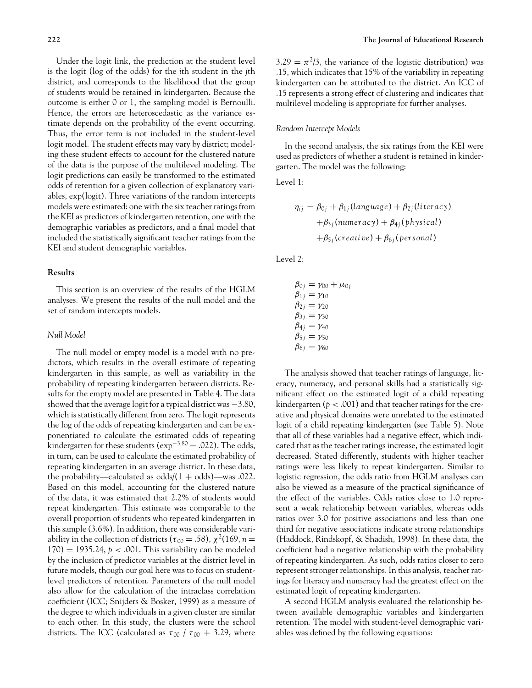Under the logit link, the prediction at the student level is the logit (log of the odds) for the *i*th student in the *j*th district, and corresponds to the likelihood that the group of students would be retained in kindergarten. Because the outcome is either 0 or 1, the sampling model is Bernoulli. Hence, the errors are heteroscedastic as the variance estimate depends on the probability of the event occurring. Thus, the error term is not included in the student-level logit model. The student effects may vary by district; modeling these student effects to account for the clustered nature of the data is the purpose of the multilevel modeling. The logit predictions can easily be transformed to the estimated odds of retention for a given collection of explanatory variables, exp(logit). Three variations of the random intercepts models were estimated: one with the six teacher ratings from the KEI as predictors of kindergarten retention, one with the demographic variables as predictors, and a final model that included the statistically significant teacher ratings from the KEI and student demographic variables.

#### **Results**

This section is an overview of the results of the HGLM analyses. We present the results of the null model and the set of random intercepts models.

#### *Null Model*

The null model or empty model is a model with no predictors, which results in the overall estimate of repeating kindergarten in this sample, as well as variability in the probability of repeating kindergarten between districts. Results for the empty model are presented in Table 4. The data showed that the average logit for a typical district was −3.80, which is statistically different from zero. The logit represents the log of the odds of repeating kindergarten and can be exponentiated to calculate the estimated odds of repeating kindergarten for these students ( $exp^{-3.80} = .022$ ). The odds, in turn, can be used to calculate the estimated probability of repeating kindergarten in an average district. In these data, the probability—calculated as  $\text{odds}/(1 + \text{odds})$ —was .022. Based on this model, accounting for the clustered nature of the data, it was estimated that 2.2% of students would repeat kindergarten. This estimate was comparable to the overall proportion of students who repeated kindergarten in this sample (3.6%). In addition, there was considerable variability in the collection of districts ( $\tau_{00} = .58$ ),  $\chi^2(169, n =$  $170$ ) = 1935.24,  $p < .001$ . This variability can be modeled by the inclusion of predictor variables at the district level in future models, though our goal here was to focus on studentlevel predictors of retention. Parameters of the null model also allow for the calculation of the intraclass correlation coefficient (ICC; Snijders & Bosker, 1999) as a measure of the degree to which individuals in a given cluster are similar to each other. In this study, the clusters were the school districts. The ICC (calculated as  $\tau_{00}$  /  $\tau_{00}$  + 3.29, where

 $3.29 = \pi^2/3$ , the variance of the logistic distribution) was .15, which indicates that 15% of the variability in repeating kindergarten can be attributed to the district. An ICC of .15 represents a strong effect of clustering and indicates that multilevel modeling is appropriate for further analyses.

# *Random Intercept Models*

In the second analysis, the six ratings from the KEI were used as predictors of whether a student is retained in kindergarten. The model was the following:

## Level 1:

$$
\eta_{ij} = \beta_{0j} + \beta_{1j} (language) + \beta_{2j} (literacy)
$$

$$
+ \beta_{3j} (numeracy) + \beta_{4j} (physical)
$$

$$
+ \beta_{5j} (creation e) + \beta_{6j} (personal)
$$

Level 2:

$$
\beta_{0j} = \gamma_{00} + \mu_{0j} \n\beta_{1j} = \gamma_{10} \n\beta_{2j} = \gamma_{20} \n\beta_{3j} = \gamma_{30} \n\beta_{4j} = \gamma_{40} \n\beta_{5j} = \gamma_{50} \n\beta_{6j} = \gamma_{60}
$$

The analysis showed that teacher ratings of language, literacy, numeracy, and personal skills had a statistically significant effect on the estimated logit of a child repeating kindergarten ( $p < .001$ ) and that teacher ratings for the creative and physical domains were unrelated to the estimated logit of a child repeating kindergarten (see Table 5). Note that all of these variables had a negative effect, which indicated that as the teacher ratings increase, the estimated logit decreased. Stated differently, students with higher teacher ratings were less likely to repeat kindergarten. Similar to logistic regression, the odds ratio from HGLM analyses can also be viewed as a measure of the practical significance of the effect of the variables. Odds ratios close to 1.0 represent a weak relationship between variables, whereas odds ratios over 3.0 for positive associations and less than one third for negative associations indicate strong relationships (Haddock, Rindskopf, & Shadish, 1998). In these data, the coefficient had a negative relationship with the probability of repeating kindergarten. As such, odds ratios closer to zero represent stronger relationships. In this analysis, teacher ratings for literacy and numeracy had the greatest effect on the estimated logit of repeating kindergarten.

A second HGLM analysis evaluated the relationship between available demographic variables and kindergarten retention. The model with student-level demographic variables was defined by the following equations: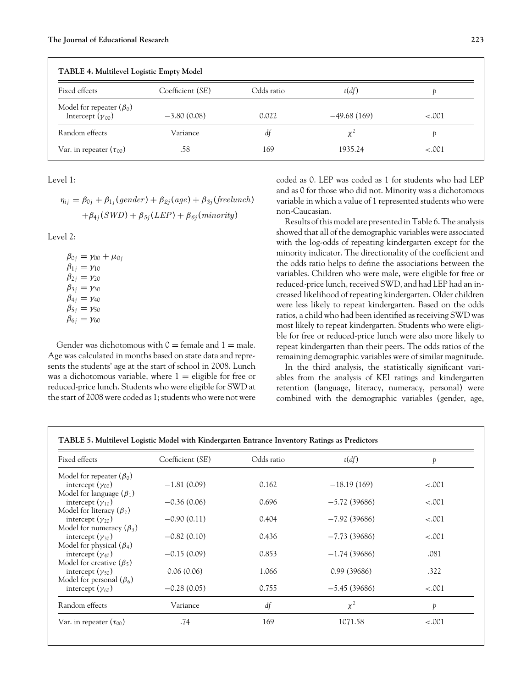| TABLE 4. Multilevel Logistic Empty Model                    |                  |            |               |         |  |  |
|-------------------------------------------------------------|------------------|------------|---------------|---------|--|--|
| Fixed effects                                               | Coefficient (SE) | Odds ratio | t(df)         |         |  |  |
| Model for repeater $(\beta_0)$<br>Intercept $(\gamma_{00})$ | $-3.80(0.08)$    | 0.022      | $-49.68(169)$ | $-.001$ |  |  |
| Random effects                                              | Variance         | df         |               |         |  |  |
| Var. in repeater $(\tau_{00})$                              | .58              | 169        | 1935.24       | $-.001$ |  |  |

Level 1:

 $\eta_{ij} = \beta_{0j} + \beta_{1j} (gender) + \beta_{2j} (age) + \beta_{3j} (freelunch)$  $+\beta_{4j}(SWD) + \beta_{5j}(LEP) + \beta_{6j}(minority)$ 

Level 2:

 $\beta_{0 i} = \gamma_{00} + \mu_{0 i}$  $\beta_{1i} = \gamma_{10}$  $β_{2j} = γ_{20}$  $β_{3j} = γ_{30}$  $β_{4j} = γ_{40}$  $\beta_{5i} = \gamma_{50}$  $\beta_{6j} = \gamma_{60}$ 

Gender was dichotomous with  $0 =$  female and  $1 =$  male. Age was calculated in months based on state data and represents the students' age at the start of school in 2008. Lunch was a dichotomous variable, where  $1 =$  eligible for free or reduced-price lunch. Students who were eligible for SWD at the start of 2008 were coded as 1; students who were not were coded as 0. LEP was coded as 1 for students who had LEP and as 0 for those who did not. Minority was a dichotomous variable in which a value of 1 represented students who were non-Caucasian.

Results of this model are presented in Table 6. The analysis showed that all of the demographic variables were associated with the log-odds of repeating kindergarten except for the minority indicator. The directionality of the coefficient and the odds ratio helps to define the associations between the variables. Children who were male, were eligible for free or reduced-price lunch, received SWD, and had LEP had an increased likelihood of repeating kindergarten. Older children were less likely to repeat kindergarten. Based on the odds ratios, a child who had been identified as receiving SWD was most likely to repeat kindergarten. Students who were eligible for free or reduced-price lunch were also more likely to repeat kindergarten than their peers. The odds ratios of the remaining demographic variables were of similar magnitude.

In the third analysis, the statistically significant variables from the analysis of KEI ratings and kindergarten retention (language, literacy, numeracy, personal) were combined with the demographic variables (gender, age,

| Fixed effects                                               | Coefficient (SE) | Odds ratio | t(df)          | Þ       |
|-------------------------------------------------------------|------------------|------------|----------------|---------|
| Model for repeater $(\beta_0)$                              |                  |            |                |         |
| intercept $(\gamma_{00})$                                   | $-1.81(0.09)$    | 0.162      | $-18.19(169)$  | $-.001$ |
| Model for language $(\beta_1)$                              |                  |            |                |         |
| intercept $(\gamma_{10})$                                   | $-0.36(0.06)$    | 0.696      | $-5.72(39686)$ | $-.001$ |
| Model for literacy $(\beta_2)$<br>intercept $(\gamma_{20})$ | $-0.90(0.11)$    | 0.404      | $-7.92(39686)$ | $-.001$ |
| Model for numeracy $(\beta_3)$                              |                  |            |                |         |
| intercept $(\gamma_{30})$                                   | $-0.82(0.10)$    | 0.436      | $-7.73(39686)$ | $-.001$ |
| Model for physical $(\beta_4)$                              |                  |            |                |         |
| intercept $(\gamma_{40})$                                   | $-0.15(0.09)$    | 0.853      | $-1.74(39686)$ | .081    |
| Model for creative $(\beta_5)$                              |                  |            |                |         |
| intercept $(\gamma_{50})$                                   | 0.06(0.06)       | 1.066      | 0.99(39686)    | .322    |
| Model for personal $(\beta_6)$                              | $-0.28(0.05)$    | 0.755      | $-5.45(39686)$ | $-.001$ |
| intercept $(\gamma_{60})$                                   |                  |            |                |         |
| Random effects                                              | Variance         | df         | $\chi^2$       | Þ       |
| Var. in repeater $(\tau_{00})$                              | .74              | 169        | 1071.58        | $-.001$ |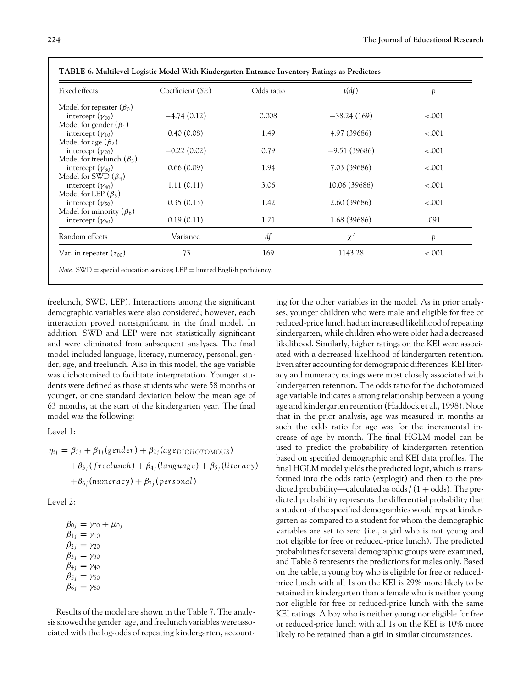| Fixed effects                                          | Coefficient (SE) | Odds ratio | t(df)          | Þ       |
|--------------------------------------------------------|------------------|------------|----------------|---------|
| Model for repeater $(\beta_0)$                         |                  |            |                |         |
| intercept $(\gamma_{00})$                              | $-4.74(0.12)$    | 0.008      | $-38.24(169)$  | $-.001$ |
| Model for gender $(\beta_1)$                           |                  |            |                |         |
| intercept $(\gamma_{10})$<br>Model for age $(\beta_2)$ | 0.40(0.08)       | 1.49       | 4.97 (39686)   | $-.001$ |
| intercept $(\gamma_{20})$                              | $-0.22(0.02)$    | 0.79       | $-9.51(39686)$ | $-.001$ |
| Model for freelunch $(\beta_3)$                        |                  |            |                |         |
| intercept $(\gamma_{30})$                              | 0.66(0.09)       | 1.94       | 7.03 (39686)   | $-.001$ |
| Model for SWD $(\beta_4)$                              |                  |            |                |         |
| intercept $(\gamma_{40})$<br>Model for LEP $(\beta_5)$ | 1.11(0.11)       | 3.06       | 10.06 (39686)  | $-.001$ |
| intercept $(\gamma_{50})$                              | 0.35(0.13)       | 1.42       | 2.60 (39686)   | $-.001$ |
| Model for minority $(\beta_6)$                         |                  |            |                |         |
| intercept $(\gamma_{60})$                              | 0.19(0.11)       | 1.21       | 1.68 (39686)   | .091    |
| Random effects                                         | Variance         | df         | $\chi^2$       | Þ       |
| Var. in repeater $(\tau_{00})$                         | .73              | 169        | 1143.28        | $-.001$ |

**TABLE 6. Multilevel Logistic Model With Kindergarten Entrance Inventory Ratings as Predictors**

freelunch, SWD, LEP). Interactions among the significant demographic variables were also considered; however, each interaction proved nonsignificant in the final model. In addition, SWD and LEP were not statistically significant and were eliminated from subsequent analyses. The final model included language, literacy, numeracy, personal, gender, age, and freelunch. Also in this model, the age variable was dichotomized to facilitate interpretation. Younger students were defined as those students who were 58 months or younger, or one standard deviation below the mean age of 63 months, at the start of the kindergarten year. The final model was the following:

Level 1:

$$
\eta_{ij} = \beta_{0j} + \beta_{1j}(\text{gender}) + \beta_{2j}(\text{age}_{DICHOTOMOUS})
$$
  
+ $\beta_{3j}$ (freelunch) +  $\beta_{4j}$ (language) +  $\beta_{5j}$ (literacy)  
+ $\beta_{6j}$ (numeracy) +  $\beta_{7j}$ (personal)

Level 2:

$$
\beta_{0j} = \gamma_{00} + \mu_{0j}
$$
  
\n
$$
\beta_{1j} = \gamma_{10}
$$
  
\n
$$
\beta_{2j} = \gamma_{20}
$$
  
\n
$$
\beta_{3j} = \gamma_{30}
$$
  
\n
$$
\beta_{4j} = \gamma_{40}
$$
  
\n
$$
\beta_{5j} = \gamma_{50}
$$
  
\n
$$
\beta_{6j} = \gamma_{60}
$$

Results of the model are shown in the Table 7. The analysis showed the gender, age, and freelunch variables were associated with the log-odds of repeating kindergarten, accounting for the other variables in the model. As in prior analyses, younger children who were male and eligible for free or reduced-price lunch had an increased likelihood of repeating kindergarten, while children who were older had a decreased likelihood. Similarly, higher ratings on the KEI were associated with a decreased likelihood of kindergarten retention. Even after accounting for demographic differences, KEI literacy and numeracy ratings were most closely associated with kindergarten retention. The odds ratio for the dichotomized age variable indicates a strong relationship between a young age and kindergarten retention (Haddock et al., 1998). Note that in the prior analysis, age was measured in months as such the odds ratio for age was for the incremental increase of age by month. The final HGLM model can be used to predict the probability of kindergarten retention based on specified demographic and KEI data profiles. The final HGLM model yields the predicted logit, which is transformed into the odds ratio (explogit) and then to the predicted probability—calculated as odds  $/(1 + \text{odds})$ . The predicted probability represents the differential probability that a student of the specified demographics would repeat kindergarten as compared to a student for whom the demographic variables are set to zero (i.e., a girl who is not young and not eligible for free or reduced-price lunch). The predicted probabilities for several demographic groups were examined, and Table 8 represents the predictions for males only. Based on the table, a young boy who is eligible for free or reducedprice lunch with all 1s on the KEI is 29% more likely to be retained in kindergarten than a female who is neither young nor eligible for free or reduced-price lunch with the same KEI ratings. A boy who is neither young nor eligible for free or reduced-price lunch with all 1s on the KEI is 10% more likely to be retained than a girl in similar circumstances.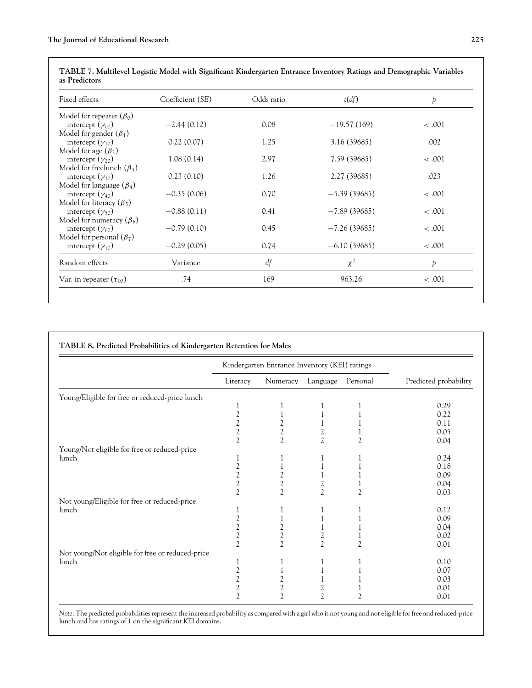| Fixed effects                                                 | Coefficient (SE) | Odds ratio | t(df)          | Þ      |
|---------------------------------------------------------------|------------------|------------|----------------|--------|
| Model for repeater $(\beta_0)$                                |                  |            |                |        |
| intercept $(\gamma_{00})$                                     | $-2.44(0.12)$    | 0.08       | $-19.57(169)$  | < .001 |
| Model for gender $(\beta_1)$                                  |                  |            |                |        |
| intercept $(\gamma_{10})$<br>Model for age $(\beta_2)$        | 0.22(0.07)       | 1.25       | 3.16 (39685)   | .002   |
| intercept $(\gamma_{20})$                                     | 1.08(0.14)       | 2.97       | 7.59 (39685)   | < .001 |
| Model for freelunch $(\beta_3)$                               |                  |            |                |        |
| intercept $(\gamma_{30})$                                     | 0.23(0.10)       | 1.26       | 2.27 (39685)   | .023   |
| Model for language $(\beta_4)$                                |                  |            |                |        |
| intercept $(\gamma_{40})$<br>Model for literacy ( $\beta_5$ ) | $-0.35(0.06)$    | 0.70       | $-5.39(39685)$ | < .001 |
| intercept $(\gamma_{50})$                                     | $-0.88(0.11)$    | 0.41       | $-7.89(39685)$ | < .001 |
| Model for numeracy $(\beta_6)$                                |                  |            |                |        |
| intercept $(\gamma_{60})$                                     | $-0.79(0.10)$    | 0.45       | $-7.26(39685)$ | < .001 |
| Model for personal $(\beta_7)$                                |                  |            |                |        |
| intercept $(\gamma_{70})$                                     | $-0.29(0.05)$    | 0.74       | $-6.10(39685)$ | < .001 |
| Random effects                                                | Variance         | df         | $\chi^2$       | Þ      |
| Var. in repeater $(\tau_{00})$                                | .74              | 169        | 963.26         | < .001 |

**TABLE 7. Multilevel Logistic Model with Significant Kindergarten Entrance Inventory Ratings and Demographic Variables as Predictors**

|                                                  | Kindergarten Entrance Inventory (KEI) ratings |                         |                         |                |                       |
|--------------------------------------------------|-----------------------------------------------|-------------------------|-------------------------|----------------|-----------------------|
|                                                  | Literacy                                      | Numeracy                | Language                | Personal       | Predicted probability |
| Young/Eligible for free or reduced-price lunch   |                                               |                         |                         |                |                       |
|                                                  | 1                                             | T                       | $\perp$                 |                | 0.29                  |
|                                                  | $\overline{c}$                                | 1                       | 1                       |                | 0.22                  |
|                                                  | $\overline{c}$                                | $\overline{\mathbf{c}}$ | 1                       |                | 0.11                  |
|                                                  | $\overline{c}$                                | $\overline{c}$          | $\overline{\mathbf{c}}$ |                | 0.05                  |
|                                                  | $\overline{c}$                                | $\overline{2}$          | $\overline{2}$          | $\overline{c}$ | 0.04                  |
| Young/Not eligible for free or reduced-price     |                                               |                         |                         |                |                       |
| lunch                                            | 1                                             | 1                       | 1                       |                | 0.24                  |
|                                                  | $\overline{c}$                                | 1                       | 1                       |                | 0.18                  |
|                                                  | $\frac{2}{2}$                                 | $\frac{2}{2}$           | 1                       |                | 0.09                  |
|                                                  |                                               |                         | $\overline{\mathbf{c}}$ |                | 0.04                  |
|                                                  | $\overline{2}$                                | $\overline{2}$          | $\overline{2}$          | $\overline{c}$ | 0.03                  |
| Not young/Eligible for free or reduced-price     |                                               |                         |                         |                |                       |
| lunch                                            | 1                                             | 1                       | $\mathbf{I}$            |                | 0.12                  |
|                                                  | $\overline{\mathbf{c}}$                       | 1                       | 1                       |                | 0.09                  |
|                                                  | $\frac{2}{2}$                                 | $\mathfrak{2}$          | 1                       |                | 0.04                  |
|                                                  |                                               | $\overline{c}$          | 2                       |                | 0.02                  |
|                                                  | $\overline{2}$                                | $\overline{2}$          | $\overline{2}$          | $\overline{c}$ | 0.01                  |
| Not young/Not eligible for free or reduced-price |                                               |                         |                         |                |                       |
| lunch                                            | 1                                             | 1                       | T                       |                | 0.10                  |
|                                                  | $\overline{c}$                                | 1                       | $\perp$                 |                | 0.07                  |
|                                                  | $\overline{c}$                                | $\mathfrak{2}$          | $\mathbf{I}$            |                | 0.03                  |
|                                                  | $\overline{c}$                                | $\overline{c}$          | 2                       |                | 0.01                  |
|                                                  | $\overline{c}$                                | $\overline{2}$          | $\overline{2}$          | $\overline{c}$ | 0.01                  |

*Note.* The predicted probabilities represent the increased probability as compared with a girl who is not young and not eligible for free and reduced-price lunch and has ratings of 1 on the significant KEI domains.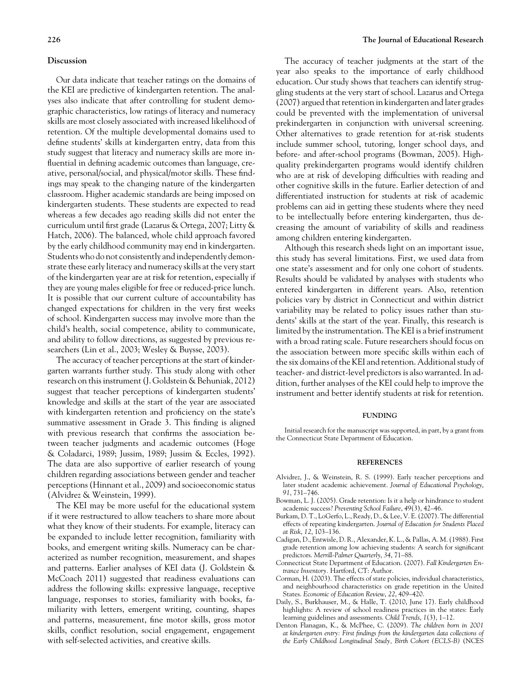#### **Discussion**

Our data indicate that teacher ratings on the domains of the KEI are predictive of kindergarten retention. The analyses also indicate that after controlling for student demographic characteristics, low ratings of literacy and numeracy skills are most closely associated with increased likelihood of retention. Of the multiple developmental domains used to define students' skills at kindergarten entry, data from this study suggest that literacy and numeracy skills are more influential in defining academic outcomes than language, creative, personal/social, and physical/motor skills. These findings may speak to the changing nature of the kindergarten classroom. Higher academic standards are being imposed on kindergarten students. These students are expected to read whereas a few decades ago reading skills did not enter the curriculum until first grade (Lazarus & Ortega, 2007; Litty & Hatch, 2006). The balanced, whole child approach favored by the early childhood community may end in kindergarten. Students who do not consistently and independently demonstrate these early literacy and numeracy skills at the very start of the kindergarten year are at risk for retention, especially if they are young males eligible for free or reduced-price lunch. It is possible that our current culture of accountability has changed expectations for children in the very first weeks of school. Kindergarten success may involve more than the child's health, social competence, ability to communicate, and ability to follow directions, as suggested by previous researchers (Lin et al., 2003; Wesley & Buysse, 2003).

The accuracy of teacher perceptions at the start of kindergarten warrants further study. This study along with other research on this instrument (J. Goldstein & Behuniak, 2012) suggest that teacher perceptions of kindergarten students' knowledge and skills at the start of the year are associated with kindergarten retention and proficiency on the state's summative assessment in Grade 3. This finding is aligned with previous research that confirms the association between teacher judgments and academic outcomes (Hoge & Coladarci, 1989; Jussim, 1989; Jussim & Eccles, 1992). The data are also supportive of earlier research of young children regarding associations between gender and teacher perceptions (Hinnant et al., 2009) and socioeconomic status (Alvidrez & Weinstein, 1999).

The KEI may be more useful for the educational system if it were restructured to allow teachers to share more about what they know of their students. For example, literacy can be expanded to include letter recognition, familiarity with books, and emergent writing skills. Numeracy can be characterized as number recognition, measurement, and shapes and patterns. Earlier analyses of KEI data (J. Goldstein & McCoach 2011) suggested that readiness evaluations can address the following skills: expressive language, receptive language, responses to stories, familiarity with books, familiarity with letters, emergent writing, counting, shapes and patterns, measurement, fine motor skills, gross motor skills, conflict resolution, social engagement, engagement with self-selected activities, and creative skills.

The accuracy of teacher judgments at the start of the year also speaks to the importance of early childhood education. Our study shows that teachers can identify struggling students at the very start of school. Lazarus and Ortega (2007) argued that retention in kindergarten and later grades could be prevented with the implementation of universal prekindergarten in conjunction with universal screening. Other alternatives to grade retention for at-risk students include summer school, tutoring, longer school days, and before- and after-school programs (Bowman, 2005). Highquality prekindergarten programs would identify children who are at risk of developing difficulties with reading and other cognitive skills in the future. Earlier detection of and differentiated instruction for students at risk of academic problems can aid in getting these students where they need to be intellectually before entering kindergarten, thus decreasing the amount of variability of skills and readiness among children entering kindergarten.

Although this research sheds light on an important issue, this study has several limitations. First, we used data from one state's assessment and for only one cohort of students. Results should be validated by analyses with students who entered kindergarten in different years. Also, retention policies vary by district in Connecticut and within district variability may be related to policy issues rather than students' skills at the start of the year. Finally, this research is limited by the instrumentation. The KEI is a brief instrument with a broad rating scale. Future researchers should focus on the association between more specific skills within each of the six domains of the KEI and retention. Additional study of teacher- and district-level predictors is also warranted. In addition, further analyses of the KEI could help to improve the instrument and better identify students at risk for retention.

#### **FUNDING**

Initial research for the manuscript was supported, in part, by a grant from the Connecticut State Department of Education.

#### **REFERENCES**

- Alvidrez, J., & Weinstein, R. S. (1999). Early teacher perceptions and later student academic achievement. *Journal of Educational Psychology*, *91*, 731–746.
- Bowman, L. J. (2005). Grade retention: Is it a help or hindrance to student academic success? *Preventing School Failure*, *49*(3), 42–46.
- Burkam, D. T., LoGerfo, L., Ready, D., & Lee, V. E. (2007). The differential effects of repeating kindergarten. *Journal of Education for Students Placed at Risk*, *12*, 103–136.
- Cadigan, D., Entwisle, D. R., Alexander, K. L., & Pallas, A. M. (1988). First grade retention among low achieving students: A search for significant predictors. *Merrill-Palmer Quarterly*, *34*, 71–88.
- Connecticut State Department of Education. (2007). *Fall Kindergarten Entrance Inventory.* Hartford, CT: Author.
- Corman, H. (2003). The effects of state policies, individual characteristics, and neighbourhood characteristics on grade repetition in the United States. *Economic of Education Review*, *22*, 409–420.
- Daily, S., Burkhauser, M., & Halle, T. (2010, June 17). Early childhood highlights: A review of school readiness practices in the states: Early learning guidelines and assessments. *Child Trends*, *1*(3), 1–12.
- Denton Flanagan, K., & McPhee, C. (2009). *The children born in 2001 at kindergarten entry: First findings from the kindergarten data collections of the Early Childhood Longitudinal Study, Birth Cohort (ECLS-B)* (NCES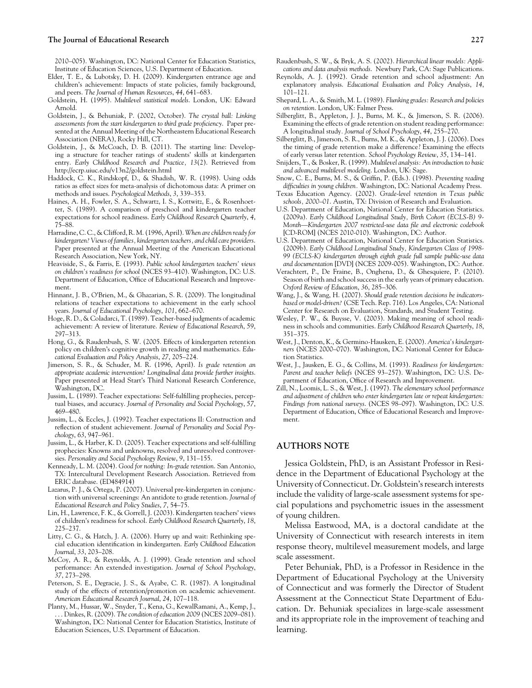#### **The Journal of Educational Research 227**

2010–005). Washington, DC: National Center for Education Statistics, Institute of Education Sciences, U.S. Department of Education.

- Elder, T. E., & Lubotsky, D. H. (2009). Kindergarten entrance age and children's achievement: Impacts of state policies, family background, and peers. *The Journal of Human Resources*, *44*, 641–683.
- Goldstein, H. (1995). *Multilevel statistical models*. London, UK: Edward Arnold.
- Goldstein, J., & Behuniak, P. (2002, October). *The crystal ball: Linking assessments from the start kindergarten to third grade proficiency*. Paper presented at the Annual Meeting of the Northeastern Educational Research Association (NERA), Rocky Hill, CT.
- Goldstein, J., & McCoach, D. B. (2011). The starting line: Developing a structure for teacher ratings of students' skills at kindergarten entry. *Early Childhood Research and Practice, 13*(2). Retrieved from http://ecrp.uiuc.edu/v13n2/goldstein.html
- Haddock, C. K., Rindskopf, D., & Shadish, W. R. (1998). Using odds ratios as effect sizes for meta-analysis of dichotomous data: A primer on methods and issues. *Psychological Methods*, *3*, 339–353.
- Haines, A. H., Fowler, S. A., Schwartz, I. S., Kottwitz, E., & Rosenhoetter, S. (1989). A comparison of preschool and kindergarten teacher expectations for school readiness. *Early Childhood Research Quarterly*, *4*, 75–88.
- Harradine, C. C., & Clifford, R. M. (1996, April). *When are children ready for kindergarten? Views of families, kindergarten teachers, and child care providers*. Paper presented at the Annual Meeting of the American Educational Research Association, New York, NY.
- Heaviside, S., & Farris, E. (1993). *Public school kindergarten teachers' views on children's readiness for school* (NCES 93–410). Washington, DC: U.S. Department of Education, Office of Educational Research and Improvement.
- Hinnant, J. B., O'Brien, M., & Ghazarian, S. R. (2009). The longitudinal relations of teacher expectations to achievement in the early school years. *Journal of Educational Psychology*, *101*, 662–670.
- Hoge, R. D., & Coladarci, T. (1989). Teacher-based judgments of academic achievement: A review of literature. *Review of Educational Research*, *59*, 297–313.
- Hong, G., & Raudenbush, S. W. (2005. Effects of kindergarten retention policy on children's cognitive growth in reading and mathematics. *Educational Evaluation and Policy Analysis*, *27*, 205–224.
- Jimerson, S. R., & Schuder, M. R. (1996, April). *Is grade retention an appropriate academic intervention? Longitudinal data provide further insights*. Paper presented at Head Start's Third National Research Conference, Washington, DC.
- Jussim, L. (1989). Teacher expectations: Self-fulfilling prophecies, perceptual biases, and accuracy. *Journal of Personality and Social Psychology*, *57*, 469–480.
- Jussim, L., & Eccles, J. (1992). Teacher expectations II: Construction and reflection of student achievement. *Journal of Personality and Social Psychology*, *63*, 947–961.
- Jussim, L., & Harber, K. D. (2005). Teacher expectations and self-fulfilling prophecies: Knowns and unknowns, resolved and unresolved controversies. *Personality and Social Psychology Review*, *9*, 131–155.
- Kenneady, L. M. (2004). *Good for nothing: In-grade retention*. San Antonio, TX: Intercultural Development Research Association. Retrieved from ERIC database. (ED484914)
- Lazarus, P. J., & Ortega, P. (2007). Universal pre-kindergarten in conjunction with universal screenings: An antidote to grade retention. *Journal of Educational Research and Policy Studies*, *7*, 54–75.
- Lin, H., Lawrence, F. K., & Gorrell, J. (2003). Kindergarten teachers' views of children's readiness for school. *Early Childhood Research Quarterly*, *18*, 225–237.
- Litty, C. G., & Hatch, J. A. (2006). Hurry up and wait: Rethinking special education identification in kindergarten. *Early Childhood Education Journal*, *33*, 203–208.
- McCoy, A. R., & Reynolds, A. J. (1999). Grade retention and school performance: An extended investigation. *Journal of School Psychology*, *37*, 273–298.
- Peterson, S. E., Degracie, J. S., & Ayabe, C. R. (1987). A longitudinal study of the effects of retention/promotion on academic achievement. *American Educational Research Journal*, *24*, 107–118.
- Planty, M., Hussar, W., Snyder, T., Kena, G., KewalRamani, A., Kemp, J., ... Dinkes, R. (2009). *The condition of education 2009* (NCES 2009–081). Washington, DC: National Center for Education Statistics, Institute of Education Sciences, U.S. Department of Education.
- Raudenbush, S. W., & Bryk, A. S. (2002). *Hierarchical linear models: Applications and data analysis methods*. Newbury Park, CA: Sage Publications.
- Reynolds, A. J. (1992). Grade retention and school adjustment: An explanatory analysis. *Educational Evaluation and Policy Analysis*, *14*, 101–121.
- Shepard, L. A., & Smith, M. L. (1989). *Flunking grades: Research and policies on retention*. London, UK: Falmer Press.
- Silberglitt, B., Appleton, J. J., Burns, M. K., & Jimerson, S. R. (2006). Examining the effects of grade retention on student reading performance: A longitudinal study*. Journal of School Psychology*, *44*, 255–270.
- Silberglitt, B., Jimerson, S. R., Burns, M. K., & Appleton, J. J. (2006). Does the timing of grade retention make a difference? Examining the effects of early versus later retention*. School Psychology Review*, *35*, 134–141.
- Snijders, T., & Bosker, R. (1999). *Multilevel analysis: An introduction to basic and advanced multilevel modeling*. London, UK: Sage.
- Snow, C. E., Burns, M. S., & Griffin, P. (Eds.). (1998). *Preventing reading difficulties in young children.* Washington, DC: National Academy Press.
- Texas Education Agency. (2002). *Grade-level retention in Texas public schools, 2000–01*. Austin, TX: Division of Research and Evaluation.
- U.S. Department of Education, National Center for Education Statistics. (2009a). *Early Childhood Longitudinal Study, Birth Cohort (ECLS-B) 9- Month—Kindergarten 2007 restricted-use data file and electronic codebook* [CD-ROM] (NCES 2010-010). Washington, DC: Author.
- U.S. Department of Education, National Center for Education Statistics. (2009b). *Early Childhood Longitudinal Study, Kindergarten Class of 1998- 99 (ECLS-K) kindergarten through eighth grade full sample public-use data and documentation* [DVD] (NCES 2009-005). Washington, DC: Author.
- Verachtert, P., De Fraine, B., Onghena, D., & Ghesquiere, P. (2010). Season of birth and school success in the early years of primary education. *Oxford Review of Education*, *36*, 285–306.
- Wang, J., & Wang, H. (2007). *Should grade retention decisions be indicatorsbased or model-driven?* (CSE Tech. Rep. 716). Los Angeles, CA: National Center for Research on Evaluation, Standards, and Student Testing.
- Wesley, P. W., & Buysse, V. (2003). Making meaning of school readiness in schools and communities. *Early Childhood Research Quarterly*, *18*, 351–375.
- West, J., Denton, K., & Germino-Hausken, E. (2000). *America's kindergartners* (NCES 2000–070). Washington, DC: National Center for Education Statistics.
- West, J., Jausken, E. G., & Collins, M. (1993). *Readiness for kindergarten: Parent and teacher beliefs* (NCES 93–257). Washington, DC: U.S. Department of Education, Office of Research and Improvement.
- Zill, N., Loomis, L. S., & West, J. (1997). *The elementary school performance and adjustment of children who enter kindergarten late or repeat kindergarten: Findings from national surveys*. (NCES 98–097). Washington, DC: U.S. Department of Education, Office of Educational Research and Improvement.

# **AUTHORS NOTE**

Jessica Goldstein, PhD, is an Assistant Professor in Residence in the Department of Educational Psychology at the University of Connecticut. Dr. Goldstein's research interests include the validity of large-scale assessment systems for special populations and psychometric issues in the assessment of young children.

Melissa Eastwood, MA, is a doctoral candidate at the University of Connecticut with research interests in item response theory, multilevel measurement models, and large scale assessment.

Peter Behuniak, PhD, is a Professor in Residence in the Department of Educational Psychology at the University of Connecticut and was formerly the Director of Student Assessment at the Connecticut State Department of Education. Dr. Behuniak specializes in large-scale assessment and its appropriate role in the improvement of teaching and learning.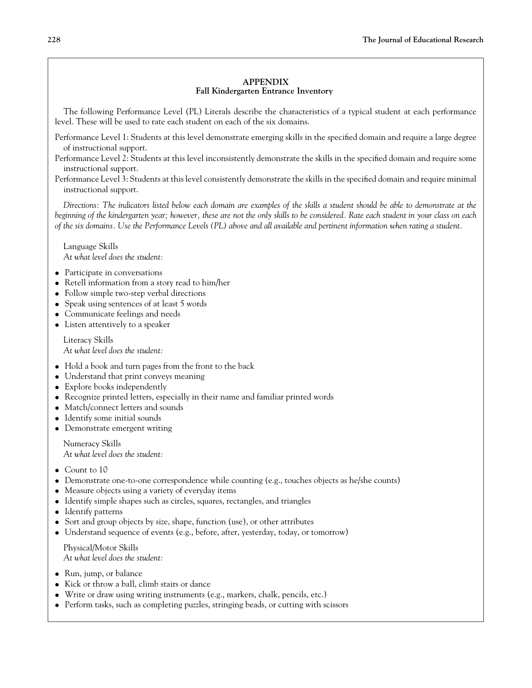# **APPENDIX Fall Kindergarten Entrance Inventory**

The following Performance Level (PL) Literals describe the characteristics of a typical student at each performance level. These will be used to rate each student on each of the six domains.

Performance Level 1: Students at this level demonstrate emerging skills in the specified domain and require a large degree of instructional support.

Performance Level 2: Students at this level inconsistently demonstrate the skills in the specified domain and require some instructional support.

Performance Level 3: Students at this level consistently demonstrate the skills in the specified domain and require minimal instructional support.

*Directions: The indicators listed below each domain are examples of the skills a student should be able to demonstrate at the beginning of the kindergarten year; however, these are not the only skills to be considered. Rate each student in your class on each of the six domains. Use the Performance Levels (PL) above and all available and pertinent information when rating a student.*

Language Skills *At what level does the student:*

- Participate in conversations
- Retell information from a story read to him/her
- Follow simple two-step verbal directions
- Speak using sentences of at least 5 words
- Communicate feelings and needs
- Listen attentively to a speaker

Literacy Skills *At what level does the student:*

- Hold a book and turn pages from the front to the back
- Understand that print conveys meaning
- Explore books independently
- Recognize printed letters, especially in their name and familiar printed words
- Match/connect letters and sounds
- Identify some initial sounds
- Demonstrate emergent writing

Numeracy Skills *At what level does the student:*

- Count to 10
- Demonstrate one-to-one correspondence while counting (e.g., touches objects as he/she counts)
- Measure objects using a variety of everyday items
- Identify simple shapes such as circles, squares, rectangles, and triangles
- Identify patterns
- Sort and group objects by size, shape, function (use), or other attributes
- Understand sequence of events (e.g., before, after, yesterday, today, or tomorrow)

Physical/Motor Skills *At what level does the student:*

- Run, jump, or balance
- Kick or throw a ball, climb stairs or dance
- Write or draw using writing instruments (e.g., markers, chalk, pencils, etc.)
- Perform tasks, such as completing puzzles, stringing beads, or cutting with scissors